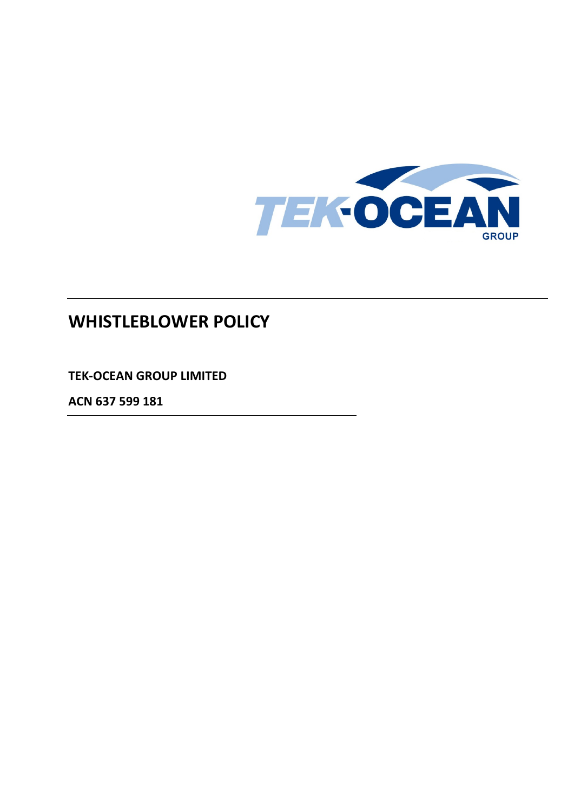

# **WHISTLEBLOWER POLICY**

**TEK-OCEAN GROUP LIMITED**

**ACN 637 599 181**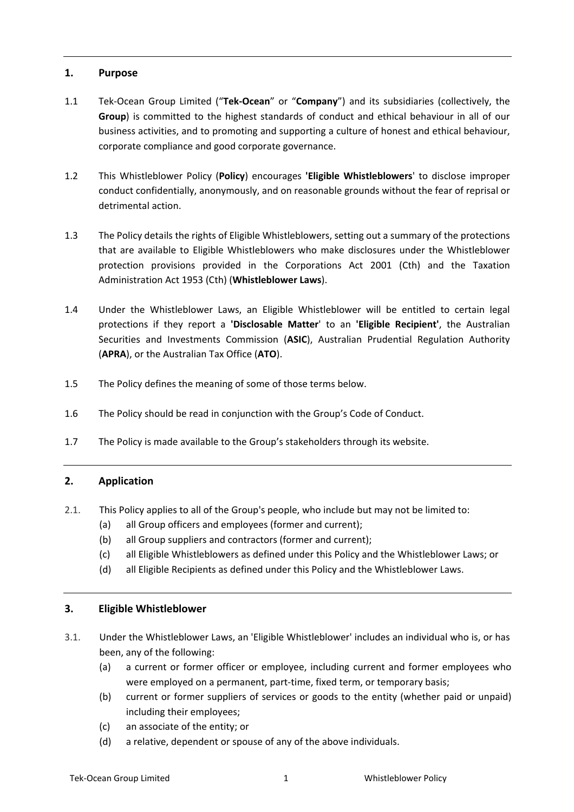## **1. Purpose**

- 1.1 Tek-Ocean Group Limited ("**Tek-Ocean**" or "**Company**") and its subsidiaries (collectively, the **Group**) is committed to the highest standards of conduct and ethical behaviour in all of our business activities, and to promoting and supporting a culture of honest and ethical behaviour, corporate compliance and good corporate governance.
- 1.2 This Whistleblower Policy (**Policy**) encourages **'Eligible Whistleblowers**' to disclose improper conduct confidentially, anonymously, and on reasonable grounds without the fear of reprisal or detrimental action.
- 1.3 The Policy details the rights of Eligible Whistleblowers, setting out a summary of the protections that are available to Eligible Whistleblowers who make disclosures under the Whistleblower protection provisions provided in the Corporations Act 2001 (Cth) and the Taxation Administration Act 1953 (Cth) (**Whistleblower Laws**).
- 1.4 Under the Whistleblower Laws, an Eligible Whistleblower will be entitled to certain legal protections if they report a **'Disclosable Matter**' to an **'Eligible Recipient'**, the Australian Securities and Investments Commission (**ASIC**), Australian Prudential Regulation Authority (**APRA**), or the Australian Tax Office (**ATO**).
- 1.5 The Policy defines the meaning of some of those terms below.
- 1.6 The Policy should be read in conjunction with the Group's Code of Conduct.
- 1.7 The Policy is made available to the Group's stakeholders through its website.

# **2. Application**

- 2.1. This Policy applies to all of the Group's people, who include but may not be limited to:
	- (a) all Group officers and employees (former and current);
	- (b) all Group suppliers and contractors (former and current);
	- (c) all Eligible Whistleblowers as defined under this Policy and the Whistleblower Laws; or
	- (d) all Eligible Recipients as defined under this Policy and the Whistleblower Laws.

#### **3. Eligible Whistleblower**

- 3.1. Under the Whistleblower Laws, an 'Eligible Whistleblower' includes an individual who is, or has been, any of the following:
	- (a) a current or former officer or employee, including current and former employees who were employed on a permanent, part-time, fixed term, or temporary basis;
	- (b) current or former suppliers of services or goods to the entity (whether paid or unpaid) including their employees;
	- (c) an associate of the entity; or
	- (d) a relative, dependent or spouse of any of the above individuals.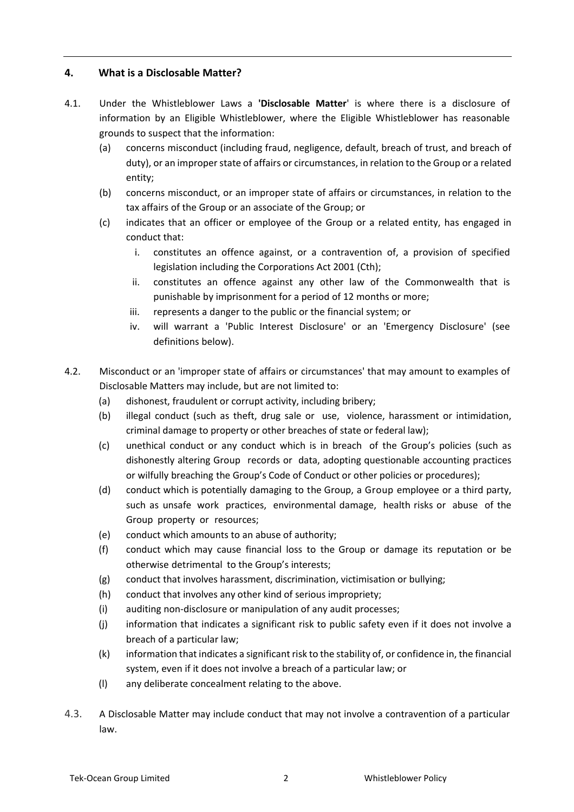# **4. What is a Disclosable Matter?**

- 4.1. Under the Whistleblower Laws a **'Disclosable Matter**' is where there is a disclosure of information by an Eligible Whistleblower, where the Eligible Whistleblower has reasonable grounds to suspect that the information:
	- (a) concerns misconduct (including fraud, negligence, default, breach of trust, and breach of duty), or an improper state of affairs or circumstances, in relation to the Group or a related entity;
	- (b) concerns misconduct, or an improper state of affairs or circumstances, in relation to the tax affairs of the Group or an associate of the Group; or
	- (c) indicates that an officer or employee of the Group or a related entity, has engaged in conduct that:
		- i. constitutes an offence against, or a contravention of, a provision of specified legislation including the Corporations Act 2001 (Cth);
		- ii. constitutes an offence against any other law of the Commonwealth that is punishable by imprisonment for a period of 12 months or more;
		- iii. represents a danger to the public or the financial system; or
		- iv. will warrant a 'Public Interest Disclosure' or an 'Emergency Disclosure' (see definitions below).
- 4.2. Misconduct or an 'improper state of affairs or circumstances' that may amount to examples of Disclosable Matters may include, but are not limited to:
	- (a) dishonest, fraudulent or corrupt activity, including bribery;
	- (b) illegal conduct (such as theft, drug sale or use, violence, harassment or intimidation, criminal damage to property or other breaches of state or federal law);
	- (c) unethical conduct or any conduct which is in breach of the Group's policies (such as dishonestly altering Group records or data, adopting questionable accounting practices or wilfully breaching the Group's Code of Conduct or other policies or procedures);
	- (d) conduct which is potentially damaging to the Group, a Group employee or a third party, such as unsafe work practices, environmental damage, health risks or abuse of the Group property or resources;
	- (e) conduct which amounts to an abuse of authority;
	- (f) conduct which may cause financial loss to the Group or damage its reputation or be otherwise detrimental to the Group's interests;
	- (g) conduct that involves harassment, discrimination, victimisation or bullying;
	- (h) conduct that involves any other kind of serious impropriety;
	- (i) auditing non-disclosure or manipulation of any audit processes;
	- (j) information that indicates a significant risk to public safety even if it does not involve a breach of a particular law;
	- (k) information that indicates a significant risk to the stability of, or confidence in, the financial system, even if it does not involve a breach of a particular law; or
	- (l) any deliberate concealment relating to the above.
- 4.3. A Disclosable Matter may include conduct that may not involve a contravention of a particular law.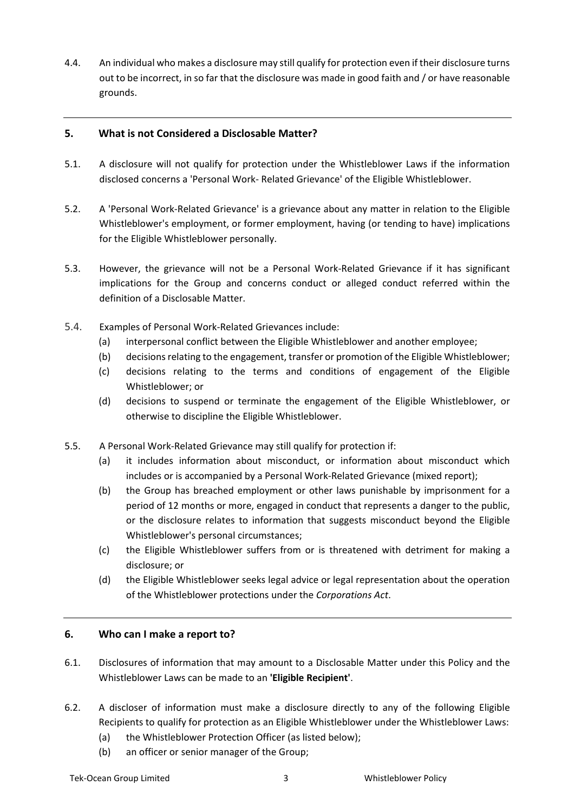4.4. An individual who makes a disclosure may still qualify for protection even if their disclosure turns out to be incorrect, in so far that the disclosure was made in good faith and / or have reasonable grounds.

# **5. What is not Considered a Disclosable Matter?**

- 5.1. A disclosure will not qualify for protection under the Whistleblower Laws if the information disclosed concerns a 'Personal Work- Related Grievance' of the Eligible Whistleblower.
- 5.2. A 'Personal Work-Related Grievance' is a grievance about any matter in relation to the Eligible Whistleblower's employment, or former employment, having (or tending to have) implications for the Eligible Whistleblower personally.
- 5.3. However, the grievance will not be a Personal Work-Related Grievance if it has significant implications for the Group and concerns conduct or alleged conduct referred within the definition of a Disclosable Matter.
- 5.4. Examples of Personal Work-Related Grievances include:
	- (a) interpersonal conflict between the Eligible Whistleblower and another employee;
	- (b) decisions relating to the engagement, transfer or promotion of the Eligible Whistleblower;
	- (c) decisions relating to the terms and conditions of engagement of the Eligible Whistleblower; or
	- (d) decisions to suspend or terminate the engagement of the Eligible Whistleblower, or otherwise to discipline the Eligible Whistleblower.
- 5.5. A Personal Work-Related Grievance may still qualify for protection if:
	- (a) it includes information about misconduct, or information about misconduct which includes or is accompanied by a Personal Work-Related Grievance (mixed report);
	- (b) the Group has breached employment or other laws punishable by imprisonment for a period of 12 months or more, engaged in conduct that represents a danger to the public, or the disclosure relates to information that suggests misconduct beyond the Eligible Whistleblower's personal circumstances;
	- (c) the Eligible Whistleblower suffers from or is threatened with detriment for making a disclosure; or
	- (d) the Eligible Whistleblower seeks legal advice or legal representation about the operation of the Whistleblower protections under the *Corporations Act*.

# **6. Who can I make a report to?**

- 6.1. Disclosures of information that may amount to a Disclosable Matter under this Policy and the Whistleblower Laws can be made to an **'Eligible Recipient'**.
- 6.2. A discloser of information must make a disclosure directly to any of the following Eligible Recipients to qualify for protection as an Eligible Whistleblower under the Whistleblower Laws:
	- (a) the Whistleblower Protection Officer (as listed below);
	- (b) an officer or senior manager of the Group;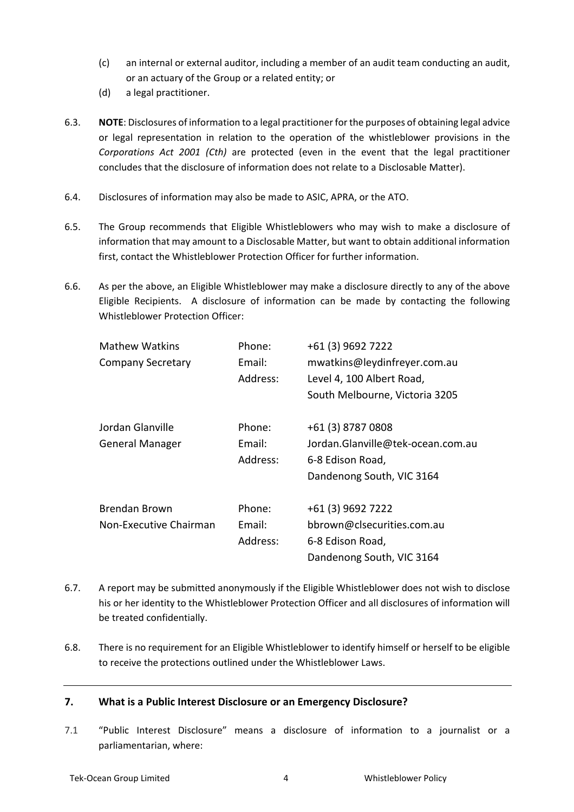- (c) an internal or external auditor, including a member of an audit team conducting an audit, or an actuary of the Group or a related entity; or
- (d) a legal practitioner.
- 6.3. **NOTE**: Disclosures of information to a legal practitioner for the purposes of obtaining legal advice or legal representation in relation to the operation of the whistleblower provisions in the *Corporations Act 2001 (Cth)* are protected (even in the event that the legal practitioner concludes that the disclosure of information does not relate to a Disclosable Matter).
- 6.4. Disclosures of information may also be made to ASIC, APRA, or the ATO.
- 6.5. The Group recommends that Eligible Whistleblowers who may wish to make a disclosure of information that may amount to a Disclosable Matter, but want to obtain additional information first, contact the Whistleblower Protection Officer for further information.
- 6.6. As per the above, an Eligible Whistleblower may make a disclosure directly to any of the above Eligible Recipients. A disclosure of information can be made by contacting the following Whistleblower Protection Officer:

| <b>Mathew Watkins</b>    | Phone:   | +61 (3) 9692 7222                 |
|--------------------------|----------|-----------------------------------|
| <b>Company Secretary</b> | Email:   | mwatkins@leydinfreyer.com.au      |
|                          | Address: | Level 4, 100 Albert Road,         |
|                          |          | South Melbourne, Victoria 3205    |
| Jordan Glanville         | Phone:   | +61 (3) 8787 0808                 |
| <b>General Manager</b>   | Email:   | Jordan.Glanville@tek-ocean.com.au |
|                          | Address: | 6-8 Edison Road,                  |
|                          |          | Dandenong South, VIC 3164         |
| <b>Brendan Brown</b>     | Phone:   | +61 (3) 9692 7222                 |
| Non-Executive Chairman   | Email:   | bbrown@clsecurities.com.au        |
|                          | Address: | 6-8 Edison Road,                  |
|                          |          | Dandenong South, VIC 3164         |

- 6.7. A report may be submitted anonymously if the Eligible Whistleblower does not wish to disclose his or her identity to the Whistleblower Protection Officer and all disclosures of information will be treated confidentially.
- 6.8. There is no requirement for an Eligible Whistleblower to identify himself or herself to be eligible to receive the protections outlined under the Whistleblower Laws.

# **7. What is a Public Interest Disclosure or an Emergency Disclosure?**

7.1 "Public Interest Disclosure" means a disclosure of information to a journalist or a parliamentarian, where: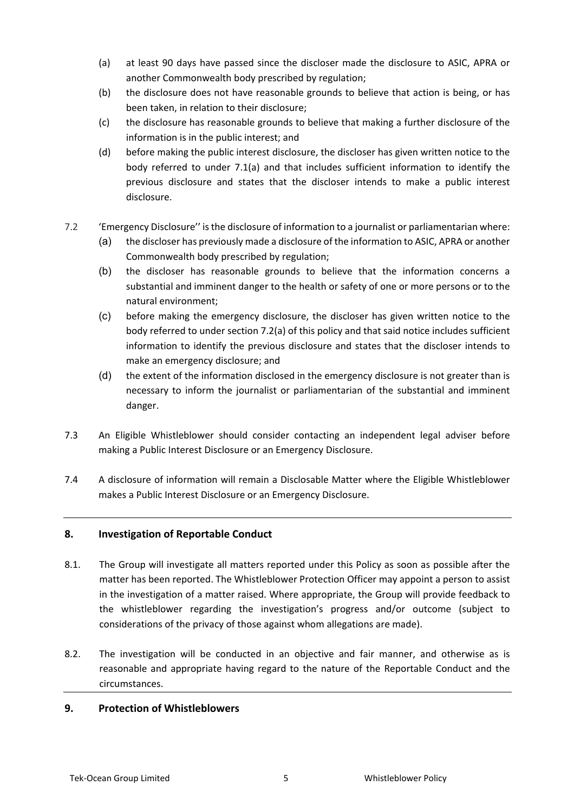- (a) at least 90 days have passed since the discloser made the disclosure to ASIC, APRA or another Commonwealth body prescribed by regulation;
- (b) the disclosure does not have reasonable grounds to believe that action is being, or has been taken, in relation to their disclosure;
- (c) the disclosure has reasonable grounds to believe that making a further disclosure of the information is in the public interest; and
- (d) before making the public interest disclosure, the discloser has given written notice to the body referred to under 7.1(a) and that includes sufficient information to identify the previous disclosure and states that the discloser intends to make a public interest disclosure.
- 7.2 'Emergency Disclosure'' is the disclosure of information to a journalist or parliamentarian where:
	- (a) the discloser has previously made a disclosure of the information to ASIC, APRA or another Commonwealth body prescribed by regulation;
	- (b) the discloser has reasonable grounds to believe that the information concerns a substantial and imminent danger to the health or safety of one or more persons or to the natural environment;
	- (c) before making the emergency disclosure, the discloser has given written notice to the body referred to under section 7.2(a) of this policy and that said notice includes sufficient information to identify the previous disclosure and states that the discloser intends to make an emergency disclosure; and
	- (d) the extent of the information disclosed in the emergency disclosure is not greater than is necessary to inform the journalist or parliamentarian of the substantial and imminent danger.
- 7.3 An Eligible Whistleblower should consider contacting an independent legal adviser before making a Public Interest Disclosure or an Emergency Disclosure.
- 7.4 A disclosure of information will remain a Disclosable Matter where the Eligible Whistleblower makes a Public Interest Disclosure or an Emergency Disclosure.

# **8. Investigation of Reportable Conduct**

- 8.1. The Group will investigate all matters reported under this Policy as soon as possible after the matter has been reported. The Whistleblower Protection Officer may appoint a person to assist in the investigation of a matter raised. Where appropriate, the Group will provide feedback to the whistleblower regarding the investigation's progress and/or outcome (subject to considerations of the privacy of those against whom allegations are made).
- 8.2. The investigation will be conducted in an objective and fair manner, and otherwise as is reasonable and appropriate having regard to the nature of the Reportable Conduct and the circumstances.

#### **9. Protection of Whistleblowers**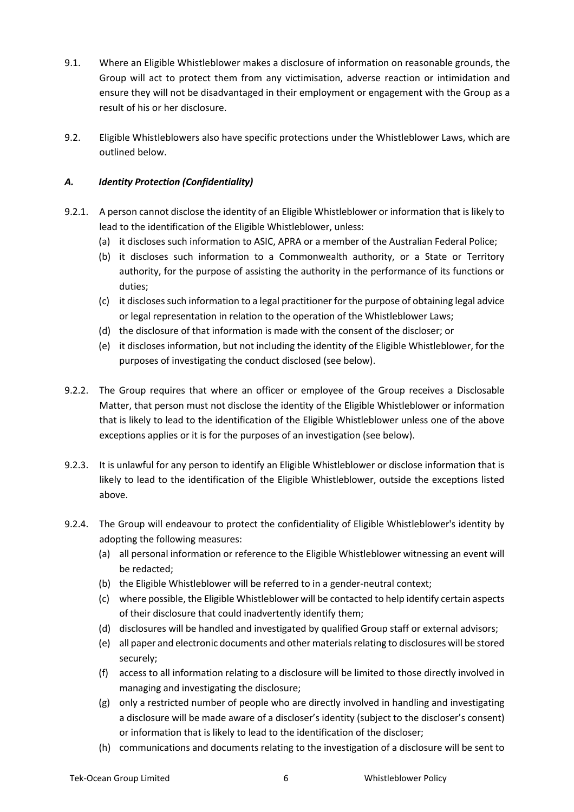- 9.1. Where an Eligible Whistleblower makes a disclosure of information on reasonable grounds, the Group will act to protect them from any victimisation, adverse reaction or intimidation and ensure they will not be disadvantaged in their employment or engagement with the Group as a result of his or her disclosure.
- 9.2. Eligible Whistleblowers also have specific protections under the Whistleblower Laws, which are outlined below.

# *A. Identity Protection (Confidentiality)*

- 9.2.1. A person cannot disclose the identity of an Eligible Whistleblower or information that is likely to lead to the identification of the Eligible Whistleblower, unless:
	- (a) it discloses such information to ASIC, APRA or a member of the Australian Federal Police;
	- (b) it discloses such information to a Commonwealth authority, or a State or Territory authority, for the purpose of assisting the authority in the performance of its functions or duties;
	- (c) it discloses such information to a legal practitioner for the purpose of obtaining legal advice or legal representation in relation to the operation of the Whistleblower Laws;
	- (d) the disclosure of that information is made with the consent of the discloser; or
	- (e) it discloses information, but not including the identity of the Eligible Whistleblower, for the purposes of investigating the conduct disclosed (see below).
- 9.2.2. The Group requires that where an officer or employee of the Group receives a Disclosable Matter, that person must not disclose the identity of the Eligible Whistleblower or information that is likely to lead to the identification of the Eligible Whistleblower unless one of the above exceptions applies or it is for the purposes of an investigation (see below).
- 9.2.3. It is unlawful for any person to identify an Eligible Whistleblower or disclose information that is likely to lead to the identification of the Eligible Whistleblower, outside the exceptions listed above.
- 9.2.4. The Group will endeavour to protect the confidentiality of Eligible Whistleblower's identity by adopting the following measures:
	- (a) all personal information or reference to the Eligible Whistleblower witnessing an event will be redacted;
	- (b) the Eligible Whistleblower will be referred to in a gender-neutral context;
	- (c) where possible, the Eligible Whistleblower will be contacted to help identify certain aspects of their disclosure that could inadvertently identify them;
	- (d) disclosures will be handled and investigated by qualified Group staff or external advisors;
	- (e) all paper and electronic documents and other materials relating to disclosures will be stored securely;
	- (f) access to all information relating to a disclosure will be limited to those directly involved in managing and investigating the disclosure;
	- (g) only a restricted number of people who are directly involved in handling and investigating a disclosure will be made aware of a discloser's identity (subject to the discloser's consent) or information that is likely to lead to the identification of the discloser;
	- (h) communications and documents relating to the investigation of a disclosure will be sent to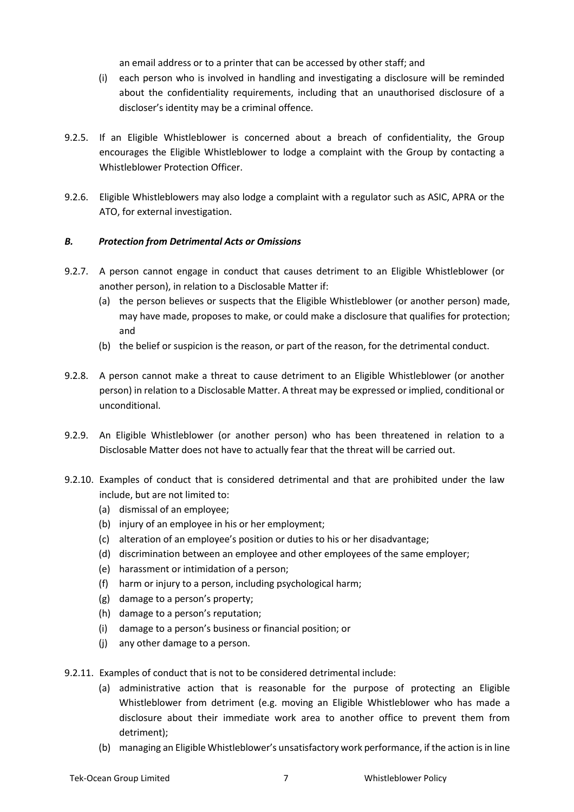an email address or to a printer that can be accessed by other staff; and

- (i) each person who is involved in handling and investigating a disclosure will be reminded about the confidentiality requirements, including that an unauthorised disclosure of a discloser's identity may be a criminal offence.
- 9.2.5. If an Eligible Whistleblower is concerned about a breach of confidentiality, the Group encourages the Eligible Whistleblower to lodge a complaint with the Group by contacting a Whistleblower Protection Officer.
- 9.2.6. Eligible Whistleblowers may also lodge a complaint with a regulator such as ASIC, APRA or the ATO, for external investigation.

#### *B. Protection from Detrimental Acts or Omissions*

- 9.2.7. A person cannot engage in conduct that causes detriment to an Eligible Whistleblower (or another person), in relation to a Disclosable Matter if:
	- (a) the person believes or suspects that the Eligible Whistleblower (or another person) made, may have made, proposes to make, or could make a disclosure that qualifies for protection; and
	- (b) the belief or suspicion is the reason, or part of the reason, for the detrimental conduct.
- 9.2.8. A person cannot make a threat to cause detriment to an Eligible Whistleblower (or another person) in relation to a Disclosable Matter. A threat may be expressed or implied, conditional or unconditional.
- 9.2.9. An Eligible Whistleblower (or another person) who has been threatened in relation to a Disclosable Matter does not have to actually fear that the threat will be carried out.
- 9.2.10. Examples of conduct that is considered detrimental and that are prohibited under the law include, but are not limited to:
	- (a) dismissal of an employee;
	- (b) injury of an employee in his or her employment;
	- (c) alteration of an employee's position or duties to his or her disadvantage;
	- (d) discrimination between an employee and other employees of the same employer;
	- (e) harassment or intimidation of a person;
	- (f) harm or injury to a person, including psychological harm;
	- (g) damage to a person's property;
	- (h) damage to a person's reputation;
	- (i) damage to a person's business or financial position; or
	- (j) any other damage to a person.

9.2.11. Examples of conduct that is not to be considered detrimental include:

- (a) administrative action that is reasonable for the purpose of protecting an Eligible Whistleblower from detriment (e.g. moving an Eligible Whistleblower who has made a disclosure about their immediate work area to another office to prevent them from detriment);
- (b) managing an Eligible Whistleblower's unsatisfactory work performance, if the action is in line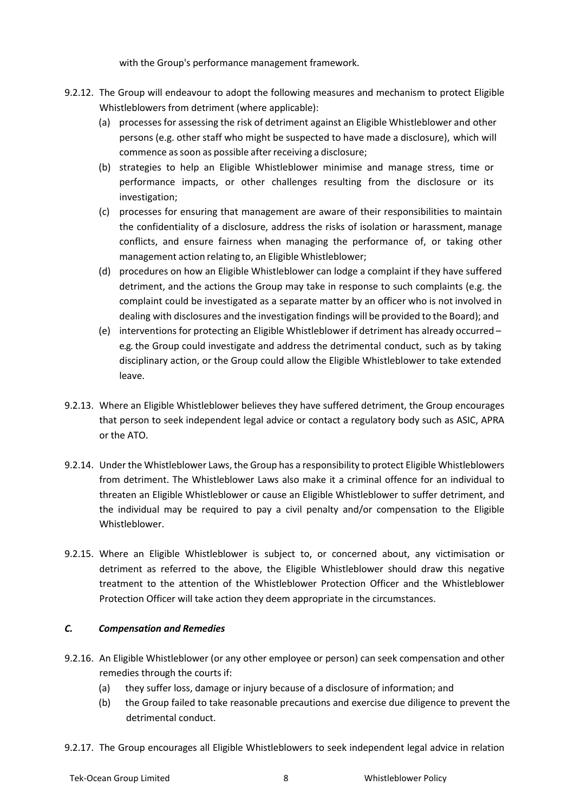with the Group's performance management framework.

- 9.2.12. The Group will endeavour to adopt the following measures and mechanism to protect Eligible Whistleblowers from detriment (where applicable):
	- (a) processes for assessing the risk of detriment against an Eligible Whistleblower and other persons (e.g. other staff who might be suspected to have made a disclosure), which will commence as soon as possible after receiving a disclosure;
	- (b) strategies to help an Eligible Whistleblower minimise and manage stress, time or performance impacts, or other challenges resulting from the disclosure or its investigation;
	- (c) processes for ensuring that management are aware of their responsibilities to maintain the confidentiality of a disclosure, address the risks of isolation or harassment, manage conflicts, and ensure fairness when managing the performance of, or taking other management action relating to, an Eligible Whistleblower;
	- (d) procedures on how an Eligible Whistleblower can lodge a complaint if they have suffered detriment, and the actions the Group may take in response to such complaints (e.g. the complaint could be investigated as a separate matter by an officer who is not involved in dealing with disclosures and the investigation findings will be provided to the Board); and
	- (e) interventions for protecting an Eligible Whistleblower if detriment has already occurred e.g. the Group could investigate and address the detrimental conduct, such as by taking disciplinary action, or the Group could allow the Eligible Whistleblower to take extended leave.
- 9.2.13. Where an Eligible Whistleblower believes they have suffered detriment, the Group encourages that person to seek independent legal advice or contact a regulatory body such as ASIC, APRA or the ATO.
- 9.2.14. Under the Whistleblower Laws, the Group has a responsibility to protect Eligible Whistleblowers from detriment. The Whistleblower Laws also make it a criminal offence for an individual to threaten an Eligible Whistleblower or cause an Eligible Whistleblower to suffer detriment, and the individual may be required to pay a civil penalty and/or compensation to the Eligible Whistleblower.
- 9.2.15. Where an Eligible Whistleblower is subject to, or concerned about, any victimisation or detriment as referred to the above, the Eligible Whistleblower should draw this negative treatment to the attention of the Whistleblower Protection Officer and the Whistleblower Protection Officer will take action they deem appropriate in the circumstances.

#### *C. Compensation and Remedies*

- 9.2.16. An Eligible Whistleblower (or any other employee or person) can seek compensation and other remedies through the courts if:
	- (a) they suffer loss, damage or injury because of a disclosure of information; and
	- (b) the Group failed to take reasonable precautions and exercise due diligence to prevent the detrimental conduct.
- 9.2.17. The Group encourages all Eligible Whistleblowers to seek independent legal advice in relation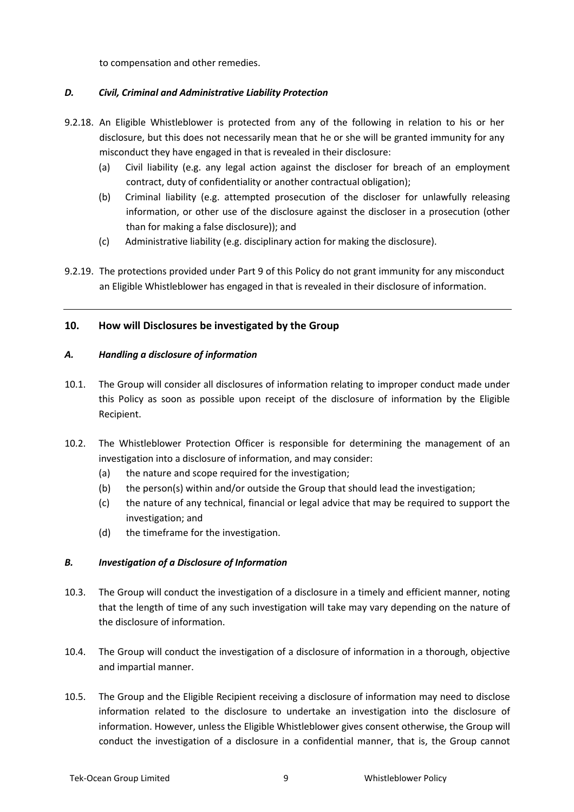to compensation and other remedies.

# *D. Civil, Criminal and Administrative Liability Protection*

- 9.2.18. An Eligible Whistleblower is protected from any of the following in relation to his or her disclosure, but this does not necessarily mean that he or she will be granted immunity for any misconduct they have engaged in that is revealed in their disclosure:
	- (a) Civil liability (e.g. any legal action against the discloser for breach of an employment contract, duty of confidentiality or another contractual obligation);
	- (b) Criminal liability (e.g. attempted prosecution of the discloser for unlawfully releasing information, or other use of the disclosure against the discloser in a prosecution (other than for making a false disclosure)); and
	- (c) Administrative liability (e.g. disciplinary action for making the disclosure).
- 9.2.19. The protections provided under Part 9 of this Policy do not grant immunity for any misconduct an Eligible Whistleblower has engaged in that is revealed in their disclosure of information.

# **10. How will Disclosures be investigated by the Group**

#### *A. Handling a disclosure of information*

- 10.1. The Group will consider all disclosures of information relating to improper conduct made under this Policy as soon as possible upon receipt of the disclosure of information by the Eligible Recipient.
- 10.2. The Whistleblower Protection Officer is responsible for determining the management of an investigation into a disclosure of information, and may consider:
	- (a) the nature and scope required for the investigation;
	- (b) the person(s) within and/or outside the Group that should lead the investigation;
	- (c) the nature of any technical, financial or legal advice that may be required to support the investigation; and
	- (d) the timeframe for the investigation.

# *B. Investigation of a Disclosure of Information*

- 10.3. The Group will conduct the investigation of a disclosure in a timely and efficient manner, noting that the length of time of any such investigation will take may vary depending on the nature of the disclosure of information.
- 10.4. The Group will conduct the investigation of a disclosure of information in a thorough, objective and impartial manner.
- 10.5. The Group and the Eligible Recipient receiving a disclosure of information may need to disclose information related to the disclosure to undertake an investigation into the disclosure of information. However, unless the Eligible Whistleblower gives consent otherwise, the Group will conduct the investigation of a disclosure in a confidential manner, that is, the Group cannot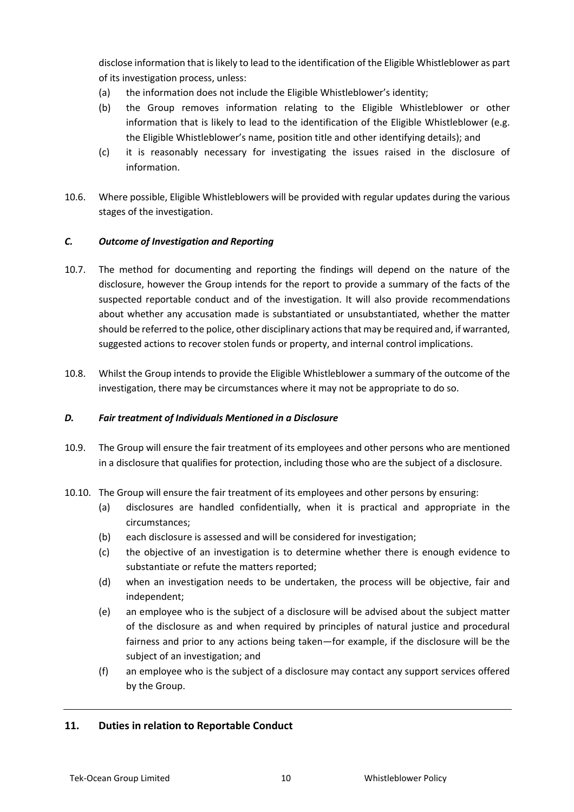disclose information that is likely to lead to the identification of the Eligible Whistleblower as part of its investigation process, unless:

- (a) the information does not include the Eligible Whistleblower's identity;
- (b) the Group removes information relating to the Eligible Whistleblower or other information that is likely to lead to the identification of the Eligible Whistleblower (e.g. the Eligible Whistleblower's name, position title and other identifying details); and
- (c) it is reasonably necessary for investigating the issues raised in the disclosure of information.
- 10.6. Where possible, Eligible Whistleblowers will be provided with regular updates during the various stages of the investigation.

# *C. Outcome of Investigation and Reporting*

- 10.7. The method for documenting and reporting the findings will depend on the nature of the disclosure, however the Group intends for the report to provide a summary of the facts of the suspected reportable conduct and of the investigation. It will also provide recommendations about whether any accusation made is substantiated or unsubstantiated, whether the matter should be referred to the police, other disciplinary actions that may be required and, if warranted, suggested actions to recover stolen funds or property, and internal control implications.
- 10.8. Whilst the Group intends to provide the Eligible Whistleblower a summary of the outcome of the investigation, there may be circumstances where it may not be appropriate to do so.

#### *D. Fair treatment of Individuals Mentioned in a Disclosure*

- 10.9. The Group will ensure the fair treatment of its employees and other persons who are mentioned in a disclosure that qualifies for protection, including those who are the subject of a disclosure.
- 10.10. The Group will ensure the fair treatment of its employees and other persons by ensuring:
	- (a) disclosures are handled confidentially, when it is practical and appropriate in the circumstances;
	- (b) each disclosure is assessed and will be considered for investigation;
	- (c) the objective of an investigation is to determine whether there is enough evidence to substantiate or refute the matters reported;
	- (d) when an investigation needs to be undertaken, the process will be objective, fair and independent;
	- (e) an employee who is the subject of a disclosure will be advised about the subject matter of the disclosure as and when required by principles of natural justice and procedural fairness and prior to any actions being taken—for example, if the disclosure will be the subject of an investigation; and
	- (f) an employee who is the subject of a disclosure may contact any support services offered by the Group.

# **11. Duties in relation to Reportable Conduct**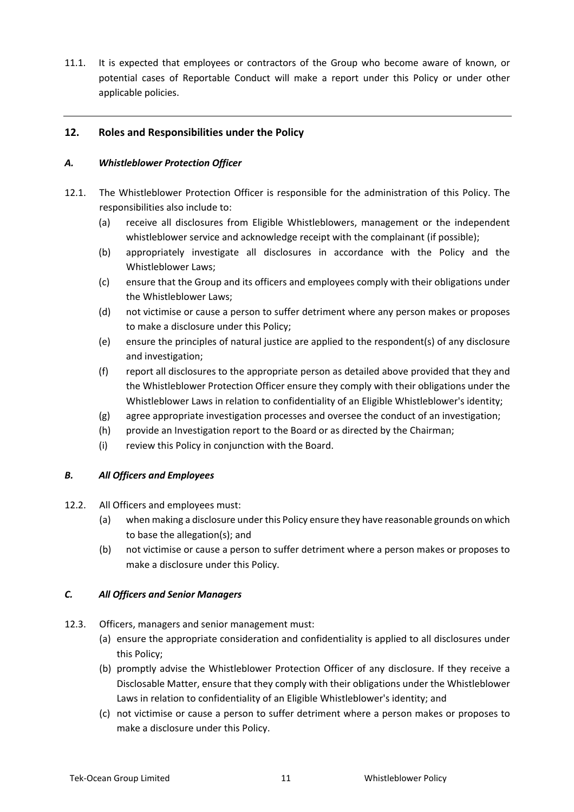11.1. It is expected that employees or contractors of the Group who become aware of known, or potential cases of Reportable Conduct will make a report under this Policy or under other applicable policies.

# **12. Roles and Responsibilities under the Policy**

#### *A. Whistleblower Protection Officer*

- 12.1. The Whistleblower Protection Officer is responsible for the administration of this Policy. The responsibilities also include to:
	- (a) receive all disclosures from Eligible Whistleblowers, management or the independent whistleblower service and acknowledge receipt with the complainant (if possible);
	- (b) appropriately investigate all disclosures in accordance with the Policy and the Whistleblower Laws;
	- (c) ensure that the Group and its officers and employees comply with their obligations under the Whistleblower Laws;
	- (d) not victimise or cause a person to suffer detriment where any person makes or proposes to make a disclosure under this Policy;
	- (e) ensure the principles of natural justice are applied to the respondent(s) of any disclosure and investigation;
	- (f) report all disclosures to the appropriate person as detailed above provided that they and the Whistleblower Protection Officer ensure they comply with their obligations under the Whistleblower Laws in relation to confidentiality of an Eligible Whistleblower's identity;
	- (g) agree appropriate investigation processes and oversee the conduct of an investigation;
	- (h) provide an Investigation report to the Board or as directed by the Chairman;
	- (i) review this Policy in conjunction with the Board.

# *B. All Officers and Employees*

- 12.2. All Officers and employees must:
	- (a) when making a disclosure under this Policy ensure they have reasonable grounds on which to base the allegation(s); and
	- (b) not victimise or cause a person to suffer detriment where a person makes or proposes to make a disclosure under this Policy.

# *C. All Officers and Senior Managers*

- 12.3. Officers, managers and senior management must:
	- (a) ensure the appropriate consideration and confidentiality is applied to all disclosures under this Policy;
	- (b) promptly advise the Whistleblower Protection Officer of any disclosure. If they receive a Disclosable Matter, ensure that they comply with their obligations under the Whistleblower Laws in relation to confidentiality of an Eligible Whistleblower's identity; and
	- (c) not victimise or cause a person to suffer detriment where a person makes or proposes to make a disclosure under this Policy.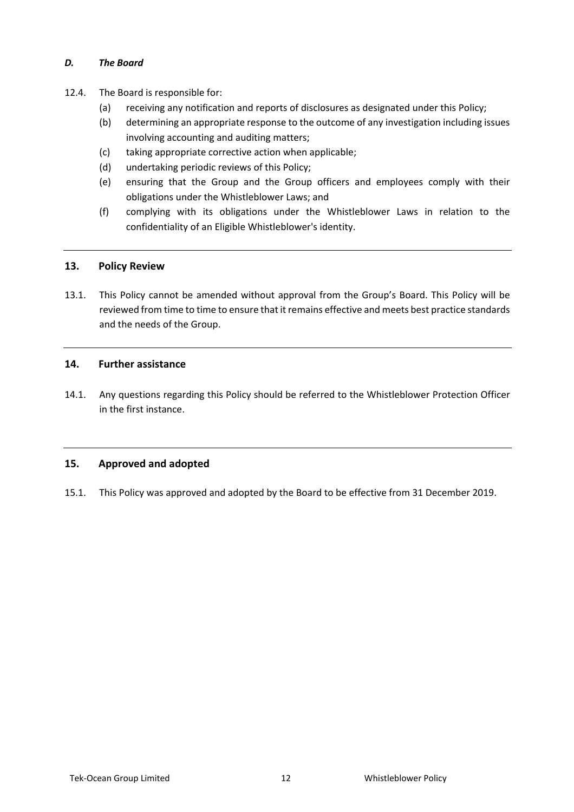### *D. The Board*

- 12.4. The Board is responsible for:
	- (a) receiving any notification and reports of disclosures as designated under this Policy;
	- (b) determining an appropriate response to the outcome of any investigation including issues involving accounting and auditing matters;
	- (c) taking appropriate corrective action when applicable;
	- (d) undertaking periodic reviews of this Policy;
	- (e) ensuring that the Group and the Group officers and employees comply with their obligations under the Whistleblower Laws; and
	- (f) complying with its obligations under the Whistleblower Laws in relation to the confidentiality of an Eligible Whistleblower's identity.

#### **13. Policy Review**

13.1. This Policy cannot be amended without approval from the Group's Board. This Policy will be reviewed from time to time to ensure that it remains effective and meets best practice standards and the needs of the Group.

#### **14. Further assistance**

14.1. Any questions regarding this Policy should be referred to the Whistleblower Protection Officer in the first instance.

# **15. Approved and adopted**

15.1. This Policy was approved and adopted by the Board to be effective from 31 December 2019.